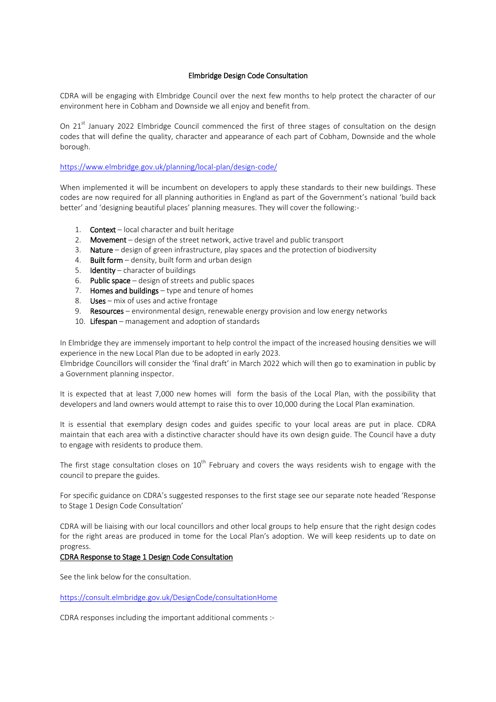## Elmbridge Design Code Consultation

CDRA will be engaging with Elmbridge Council over the next few months to help protect the character of our environment here in Cobham and Downside we all enjoy and benefit from.

On 21 $^{\text{st}}$  January 2022 Elmbridge Council commenced the first of three stages of consultation on the design codes that will define the quality, character and appearance of each part of Cobham, Downside and the whole borough.

## <https://www.elmbridge.gov.uk/planning/local-plan/design-code/>

When implemented it will be incumbent on developers to apply these standards to their new buildings. These codes are now required for all planning authorities in England as part of the Government's national 'build back better' and 'designing beautiful places' planning measures. They will cover the following:-

- 1. Context local character and built heritage
- 2. Movement design of the street network, active travel and public transport
- 3. Nature design of green infrastructure, play spaces and the protection of biodiversity
- 4. Built form density, built form and urban design
- 5. **Identity** character of buildings
- 6. Public space design of streets and public spaces
- 7. Homes and buildings  $-$  type and tenure of homes
- 8. **Uses** mix of uses and active frontage
- 9. Resources environmental design, renewable energy provision and low energy networks
- 10. Lifespan management and adoption of standards

In Elmbridge they are immensely important to help control the impact of the increased housing densities we will experience in the new Local Plan due to be adopted in early 2023.

Elmbridge Councillors will consider the 'final draft' in March 2022 which will then go to examination in public by a Government planning inspector.

It is expected that at least 7,000 new homes will form the basis of the Local Plan, with the possibility that developers and land owners would attempt to raise this to over 10,000 during the Local Plan examination.

It is essential that exemplary design codes and guides specific to your local areas are put in place. CDRA maintain that each area with a distinctive character should have its own design guide. The Council have a duty to engage with residents to produce them.

The first stage consultation closes on  $10^{th}$  February and covers the ways residents wish to engage with the council to prepare the guides.

For specific guidance on CDRA's suggested responses to the first stage see our separate note headed 'Response to Stage 1 Design Code Consultation'

CDRA will be liaising with our local councillors and other local groups to help ensure that the right design codes for the right areas are produced in tome for the Local Plan's adoption. We will keep residents up to date on progress.

## CDRA Response to Stage 1 Design Code Consultation

See the link below for the consultation.

<https://consult.elmbridge.gov.uk/DesignCode/consultationHome>

CDRA responses including the important additional comments :-